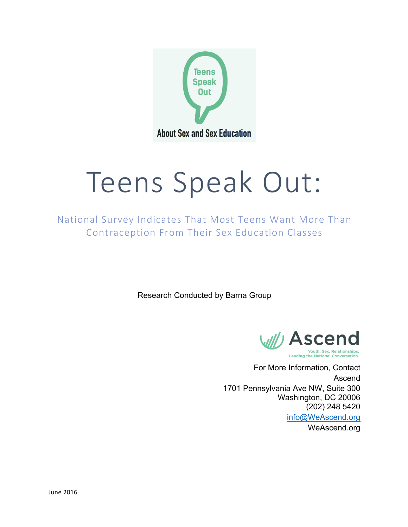

# Teens Speak Out:

National Survey Indicates That Most Teens Want More Than Contraception From Their Sex Education Classes

Research Conducted by Barna Group



For More Information, Contact Ascend 1701 Pennsylvania Ave NW, Suite 300 Washington, DC 20006 (202) 248 5420 info@WeAscend.org

WeAscend.org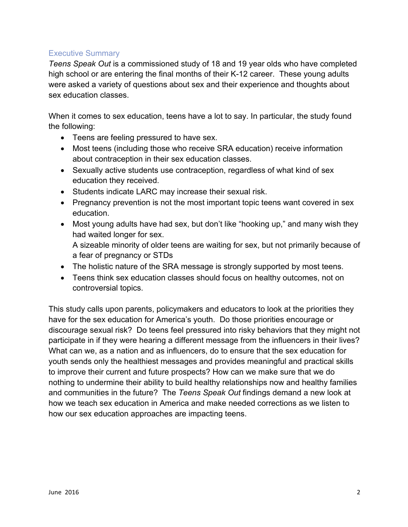# Executive Summary

*Teens Speak Out* is a commissioned study of 18 and 19 year olds who have completed high school or are entering the final months of their K-12 career. These young adults were asked a variety of questions about sex and their experience and thoughts about sex education classes.

When it comes to sex education, teens have a lot to say. In particular, the study found the following:

- Teens are feeling pressured to have sex.
- Most teens (including those who receive SRA education) receive information about contraception in their sex education classes.
- Sexually active students use contraception, regardless of what kind of sex education they received.
- Students indicate LARC may increase their sexual risk.
- Pregnancy prevention is not the most important topic teens want covered in sex education.
- Most young adults have had sex, but don't like "hooking up," and many wish they had waited longer for sex.

A sizeable minority of older teens are waiting for sex, but not primarily because of a fear of pregnancy or STDs

- The holistic nature of the SRA message is strongly supported by most teens.
- Teens think sex education classes should focus on healthy outcomes, not on controversial topics.

This study calls upon parents, policymakers and educators to look at the priorities they have for the sex education for America's youth. Do those priorities encourage or discourage sexual risk? Do teens feel pressured into risky behaviors that they might not participate in if they were hearing a different message from the influencers in their lives? What can we, as a nation and as influencers, do to ensure that the sex education for youth sends only the healthiest messages and provides meaningful and practical skills to improve their current and future prospects? How can we make sure that we do nothing to undermine their ability to build healthy relationships now and healthy families and communities in the future? The *Teens Speak Out* findings demand a new look at how we teach sex education in America and make needed corrections as we listen to how our sex education approaches are impacting teens.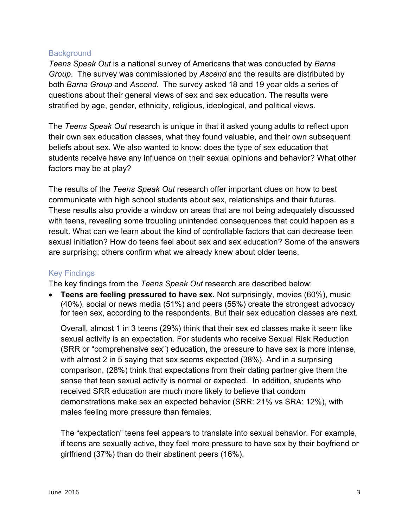## **Background**

*Teens Speak Out* is a national survey of Americans that was conducted by *Barna Group*. The survey was commissioned by *Ascend* and the results are distributed by both *Barna Group* and *Ascend.* The survey asked 18 and 19 year olds a series of questions about their general views of sex and sex education. The results were stratified by age, gender, ethnicity, religious, ideological, and political views.

The *Teens Speak Out* research is unique in that it asked young adults to reflect upon their own sex education classes, what they found valuable, and their own subsequent beliefs about sex. We also wanted to know: does the type of sex education that students receive have any influence on their sexual opinions and behavior? What other factors may be at play?

The results of the *Teens Speak Out* research offer important clues on how to best communicate with high school students about sex, relationships and their futures. These results also provide a window on areas that are not being adequately discussed with teens, revealing some troubling unintended consequences that could happen as a result. What can we learn about the kind of controllable factors that can decrease teen sexual initiation? How do teens feel about sex and sex education? Some of the answers are surprising; others confirm what we already knew about older teens.

# Key Findings

The key findings from the *Teens Speak Out* research are described below:

• **Teens are feeling pressured to have sex.** Not surprisingly, movies (60%), music (40%), social or news media (51%) and peers (55%) create the strongest advocacy for teen sex, according to the respondents. But their sex education classes are next.

Overall, almost 1 in 3 teens (29%) think that their sex ed classes make it seem like sexual activity is an expectation. For students who receive Sexual Risk Reduction (SRR or "comprehensive sex") education, the pressure to have sex is more intense, with almost 2 in 5 saying that sex seems expected (38%). And in a surprising comparison, (28%) think that expectations from their dating partner give them the sense that teen sexual activity is normal or expected. In addition, students who received SRR education are much more likely to believe that condom demonstrations make sex an expected behavior (SRR: 21% vs SRA: 12%), with males feeling more pressure than females.

The "expectation" teens feel appears to translate into sexual behavior. For example, if teens are sexually active, they feel more pressure to have sex by their boyfriend or girlfriend (37%) than do their abstinent peers (16%).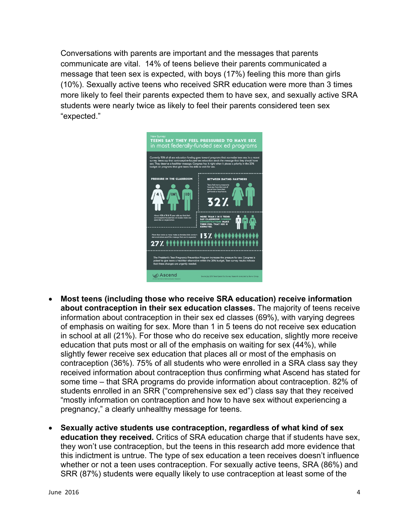Conversations with parents are important and the messages that parents communicate are vital. 14% of teens believe their parents communicated a message that teen sex is expected, with boys (17%) feeling this more than girls (10%). Sexually active teens who received SRR education were more than 3 times more likely to feel their parents expected them to have sex, and sexually active SRA students were nearly twice as likely to feel their parents considered teen sex "expected."



- **Most teens (including those who receive SRA education) receive information about contraception in their sex education classes.** The majority of teens receive information about contraception in their sex ed classes (69%), with varying degrees of emphasis on waiting for sex. More than 1 in 5 teens do not receive sex education in school at all (21%). For those who do receive sex education, slightly more receive education that puts most or all of the emphasis on waiting for sex (44%), while slightly fewer receive sex education that places all or most of the emphasis on contraception (36%). 75% of all students who were enrolled in a SRA class say they received information about contraception thus confirming what Ascend has stated for some time – that SRA programs do provide information about contraception. 82% of students enrolled in an SRR ("comprehensive sex ed") class say that they received "mostly information on contraception and how to have sex without experiencing a pregnancy," a clearly unhealthy message for teens.
- **Sexually active students use contraception, regardless of what kind of sex education they received.** Critics of SRA education charge that if students have sex, they won't use contraception, but the teens in this research add more evidence that this indictment is untrue. The type of sex education a teen receives doesn't influence whether or not a teen uses contraception. For sexually active teens, SRA (86%) and SRR (87%) students were equally likely to use contraception at least some of the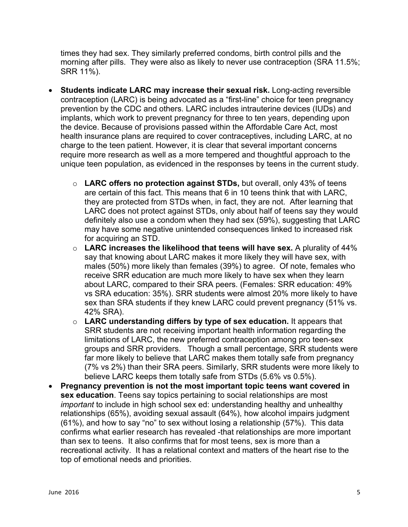times they had sex. They similarly preferred condoms, birth control pills and the morning after pills. They were also as likely to never use contraception (SRA 11.5%; SRR 11%).

- **Students indicate LARC may increase their sexual risk.** Long-acting reversible contraception (LARC) is being advocated as a "first-line" choice for teen pregnancy prevention by the CDC and others. LARC includes intrauterine devices (IUDs) and implants, which work to prevent pregnancy for three to ten years, depending upon the device. Because of provisions passed within the Affordable Care Act, most health insurance plans are required to cover contraceptives, including LARC, at no charge to the teen patient. However, it is clear that several important concerns require more research as well as a more tempered and thoughtful approach to the unique teen population, as evidenced in the responses by teens in the current study.
	- o **LARC offers no protection against STDs,** but overall, only 43% of teens are certain of this fact. This means that 6 in 10 teens think that with LARC, they are protected from STDs when, in fact, they are not. After learning that LARC does not protect against STDs, only about half of teens say they would definitely also use a condom when they had sex (59%), suggesting that LARC may have some negative unintended consequences linked to increased risk for acquiring an STD.
	- o **LARC increases the likelihood that teens will have sex.** A plurality of 44% say that knowing about LARC makes it more likely they will have sex, with males (50%) more likely than females (39%) to agree. Of note, females who receive SRR education are much more likely to have sex when they learn about LARC, compared to their SRA peers. (Females: SRR education: 49% vs SRA education: 35%). SRR students were almost 20% more likely to have sex than SRA students if they knew LARC could prevent pregnancy (51% vs. 42% SRA).
	- o **LARC understanding differs by type of sex education.** It appears that SRR students are not receiving important health information regarding the limitations of LARC, the new preferred contraception among pro teen-sex groups and SRR providers. Though a small percentage, SRR students were far more likely to believe that LARC makes them totally safe from pregnancy (7% vs 2%) than their SRA peers. Similarly, SRR students were more likely to believe LARC keeps them totally safe from STDs (5.6% vs 0.5%).
- **Pregnancy prevention is not the most important topic teens want covered in sex education**. Teens say topics pertaining to social relationships are most *important* to include in high school sex ed: understanding healthy and unhealthy relationships (65%), avoiding sexual assault (64%), how alcohol impairs judgment (61%), and how to say "no" to sex without losing a relationship (57%). This data confirms what earlier research has revealed -that relationships are more important than sex to teens. It also confirms that for most teens, sex is more than a recreational activity. It has a relational context and matters of the heart rise to the top of emotional needs and priorities.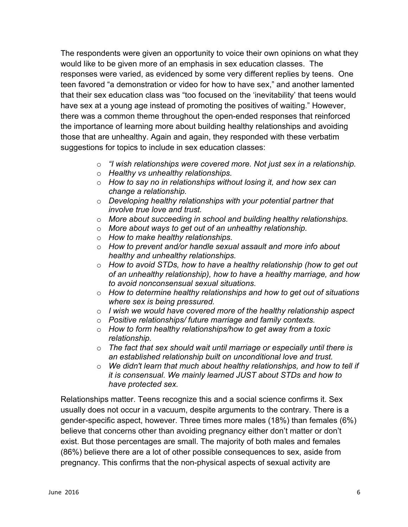The respondents were given an opportunity to voice their own opinions on what they would like to be given more of an emphasis in sex education classes. The responses were varied, as evidenced by some very different replies by teens. One teen favored "a demonstration or video for how to have sex," and another lamented that their sex education class was "too focused on the 'inevitability' that teens would have sex at a young age instead of promoting the positives of waiting." However, there was a common theme throughout the open-ended responses that reinforced the importance of learning more about building healthy relationships and avoiding those that are unhealthy. Again and again, they responded with these verbatim suggestions for topics to include in sex education classes:

- o *"I wish relationships were covered more. Not just sex in a relationship.*
- o *Healthy vs unhealthy relationships.*
- o *How to say no in relationships without losing it, and how sex can change a relationship.*
- o *Developing healthy relationships with your potential partner that involve true love and trust.*
- o *More about succeeding in school and building healthy relationships.*
- o *More about ways to get out of an unhealthy relationship.*
- o *How to make healthy relationships.*
- o *How to prevent and/or handle sexual assault and more info about healthy and unhealthy relationships.*
- o *How to avoid STDs, how to have a healthy relationship (how to get out of an unhealthy relationship), how to have a healthy marriage, and how to avoid nonconsensual sexual situations.*
- o *How to determine healthy relationships and how to get out of situations where sex is being pressured.*
- o *I wish we would have covered more of the healthy relationship aspect*
- o *Positive relationships/ future marriage and family contexts.*
- o *How to form healthy relationships/how to get away from a toxic relationship.*
- o *The fact that sex should wait until marriage or especially until there is an established relationship built on unconditional love and trust.*
- o *We didn't learn that much about healthy relationships, and how to tell if it is consensual. We mainly learned JUST about STDs and how to have protected sex.*

Relationships matter. Teens recognize this and a social science confirms it. Sex usually does not occur in a vacuum, despite arguments to the contrary. There is a gender-specific aspect, however. Three times more males (18%) than females (6%) believe that concerns other than avoiding pregnancy either don't matter or don't exist. But those percentages are small. The majority of both males and females (86%) believe there are a lot of other possible consequences to sex, aside from pregnancy. This confirms that the non-physical aspects of sexual activity are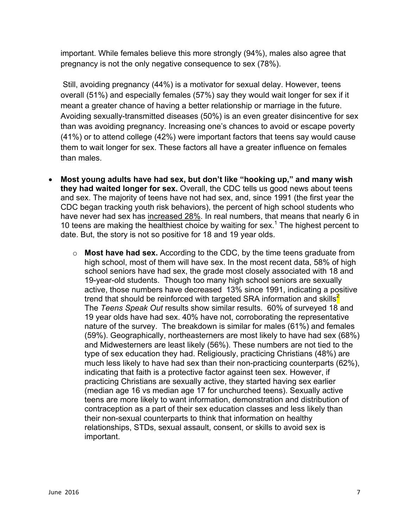important. While females believe this more strongly (94%), males also agree that pregnancy is not the only negative consequence to sex (78%).

Still, avoiding pregnancy (44%) is a motivator for sexual delay. However, teens overall (51%) and especially females (57%) say they would wait longer for sex if it meant a greater chance of having a better relationship or marriage in the future. Avoiding sexually-transmitted diseases (50%) is an even greater disincentive for sex than was avoiding pregnancy. Increasing one's chances to avoid or escape poverty (41%) or to attend college (42%) were important factors that teens say would cause them to wait longer for sex. These factors all have a greater influence on females than males.

- **Most young adults have had sex, but don't like "hooking up," and many wish they had waited longer for sex.** Overall, the CDC tells us good news about teens and sex. The majority of teens have not had sex, and, since 1991 (the first year the CDC began tracking youth risk behaviors), the percent of high school students who have never had sex has increased 28%. In real numbers, that means that nearly 6 in 10 teens are making the healthiest choice by waiting for sex.<sup>1</sup> The highest percent to date. But, the story is not so positive for 18 and 19 year olds.
	- o **Most have had sex.** According to the CDC, by the time teens graduate from high school, most of them will have sex. In the most recent data, 58% of high school seniors have had sex, the grade most closely associated with 18 and 19-year-old students. Though too many high school seniors are sexually active, those numbers have decreased 13% since 1991, indicating a positive trend that should be reinforced with targeted SRA information and skills<sup>2</sup> The *Teens Speak Out* results show similar results. 60% of surveyed 18 and 19 year olds have had sex. 40% have not, corroborating the representative nature of the survey. The breakdown is similar for males (61%) and females (59%). Geographically, northeasterners are most likely to have had sex (68%) and Midwesterners are least likely (56%). These numbers are not tied to the type of sex education they had. Religiously, practicing Christians (48%) are much less likely to have had sex than their non-practicing counterparts (62%), indicating that faith is a protective factor against teen sex. However, if practicing Christians are sexually active, they started having sex earlier (median age 16 vs median age 17 for unchurched teens). Sexually active teens are more likely to want information, demonstration and distribution of contraception as a part of their sex education classes and less likely than their non-sexual counterparts to think that information on healthy relationships, STDs, sexual assault, consent, or skills to avoid sex is important.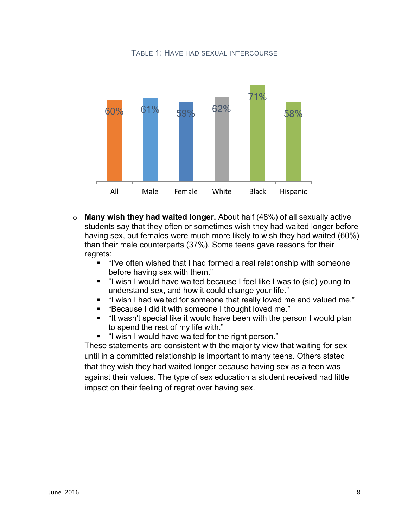

TABLE 1: HAVE HAD SEXUAL INTERCOURSE

- o **Many wish they had waited longer.** About half (48%) of all sexually active students say that they often or sometimes wish they had waited longer before having sex, but females were much more likely to wish they had waited (60%) than their male counterparts (37%). Some teens gave reasons for their regrets:
	- "I've often wished that I had formed a real relationship with someone before having sex with them."
	- § "I wish I would have waited because I feel like I was to (sic) young to understand sex, and how it could change your life."
	- "I wish I had waited for someone that really loved me and valued me."
	- § "Because I did it with someone I thought loved me."
	- § "It wasn't special like it would have been with the person I would plan to spend the rest of my life with."
	- § "I wish I would have waited for the right person."

These statements are consistent with the majority view that waiting for sex until in a committed relationship is important to many teens. Others stated that they wish they had waited longer because having sex as a teen was against their values. The type of sex education a student received had little impact on their feeling of regret over having sex.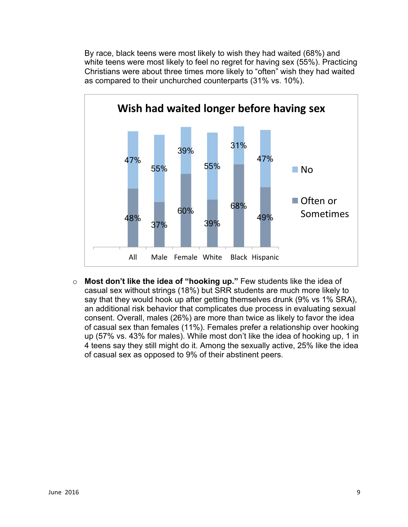By race, black teens were most likely to wish they had waited (68%) and white teens were most likely to feel no regret for having sex (55%). Practicing Christians were about three times more likely to "often" wish they had waited as compared to their unchurched counterparts (31% vs. 10%).



o **Most don't like the idea of "hooking up."** Few students like the idea of casual sex without strings (18%) but SRR students are much more likely to say that they would hook up after getting themselves drunk (9% vs 1% SRA), an additional risk behavior that complicates due process in evaluating sexual consent. Overall, males (26%) are more than twice as likely to favor the idea of casual sex than females (11%). Females prefer a relationship over hooking up (57% vs. 43% for males). While most don't like the idea of hooking up, 1 in 4 teens say they still might do it. Among the sexually active, 25% like the idea of casual sex as opposed to 9% of their abstinent peers.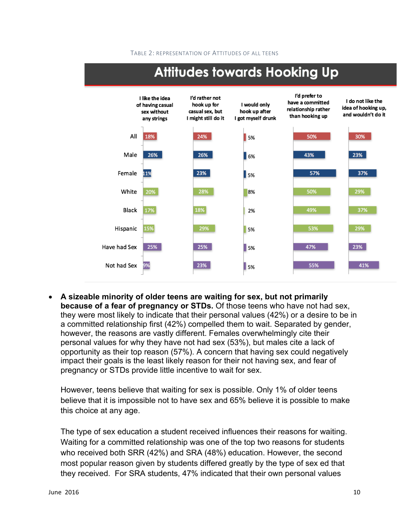#### TABLE 2: REPRESENTATION OF ATTITUDES OF ALL TEENS



# **Attitudes towards Hooking Up**

• **A sizeable minority of older teens are waiting for sex, but not primarily because of a fear of pregnancy or STDs.** Of those teens who have not had sex, they were most likely to indicate that their personal values (42%) or a desire to be in a committed relationship first (42%) compelled them to wait. Separated by gender, however, the reasons are vastly different. Females overwhelmingly cite their personal values for why they have not had sex (53%), but males cite a lack of opportunity as their top reason (57%). A concern that having sex could negatively impact their goals is the least likely reason for their not having sex, and fear of pregnancy or STDs provide little incentive to wait for sex.

However, teens believe that waiting for sex is possible. Only 1% of older teens believe that it is impossible not to have sex and 65% believe it is possible to make this choice at any age.

The type of sex education a student received influences their reasons for waiting. Waiting for a committed relationship was one of the top two reasons for students who received both SRR (42%) and SRA (48%) education. However, the second most popular reason given by students differed greatly by the type of sex ed that they received. For SRA students, 47% indicated that their own personal values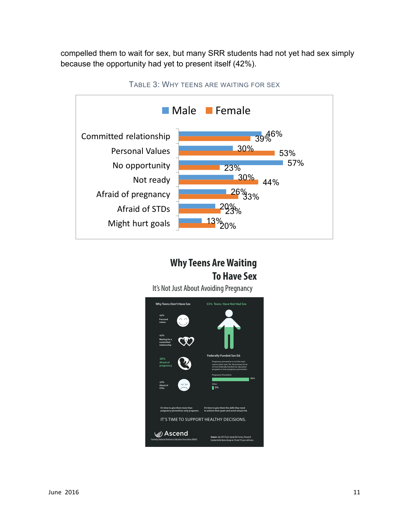compelled them to wait for sex, but many SRR students had not yet had sex simply because the opportunity had yet to present itself (42%).



TABLE 3: WHY TEENS ARE WAITING FOR SEX

# **Why Teens Are Waiting To Have Sex**

It's Not Just About Avoiding Pregnancy

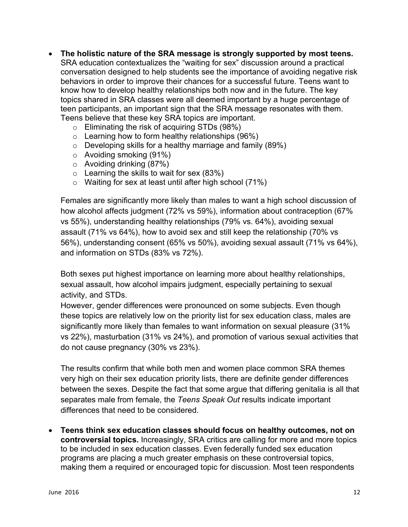- **The holistic nature of the SRA message is strongly supported by most teens.** SRA education contextualizes the "waiting for sex" discussion around a practical conversation designed to help students see the importance of avoiding negative risk behaviors in order to improve their chances for a successful future. Teens want to know how to develop healthy relationships both now and in the future. The key topics shared in SRA classes were all deemed important by a huge percentage of teen participants, an important sign that the SRA message resonates with them. Teens believe that these key SRA topics are important.
	- o Eliminating the risk of acquiring STDs (98%)
	- $\circ$  Learning how to form healthy relationships (96%)
	- $\circ$  Developing skills for a healthy marriage and family (89%)
	- o Avoiding smoking (91%)
	- $\circ$  Avoiding drinking (87%)
	- $\circ$  Learning the skills to wait for sex (83%)
	- o Waiting for sex at least until after high school (71%)

Females are significantly more likely than males to want a high school discussion of how alcohol affects judgment (72% vs 59%), information about contraception (67% vs 55%), understanding healthy relationships (79% vs. 64%), avoiding sexual assault (71% vs 64%), how to avoid sex and still keep the relationship (70% vs 56%), understanding consent (65% vs 50%), avoiding sexual assault (71% vs 64%), and information on STDs (83% vs 72%).

Both sexes put highest importance on learning more about healthy relationships, sexual assault, how alcohol impairs judgment, especially pertaining to sexual activity, and STDs.

However, gender differences were pronounced on some subjects. Even though these topics are relatively low on the priority list for sex education class, males are significantly more likely than females to want information on sexual pleasure (31% vs 22%), masturbation (31% vs 24%), and promotion of various sexual activities that do not cause pregnancy (30% vs 23%).

The results confirm that while both men and women place common SRA themes very high on their sex education priority lists, there are definite gender differences between the sexes. Despite the fact that some argue that differing genitalia is all that separates male from female, the *Teens Speak Out* results indicate important differences that need to be considered.

• **Teens think sex education classes should focus on healthy outcomes, not on controversial topics.** Increasingly, SRA critics are calling for more and more topics to be included in sex education classes. Even federally funded sex education programs are placing a much greater emphasis on these controversial topics, making them a required or encouraged topic for discussion. Most teen respondents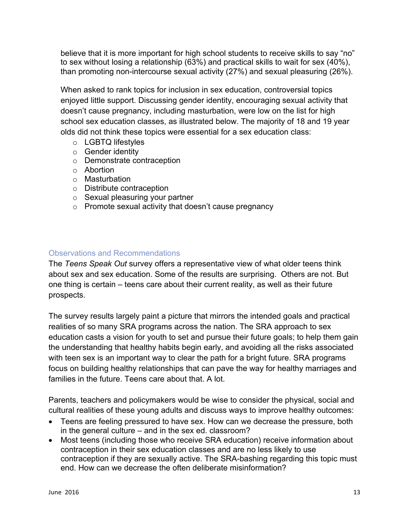believe that it is more important for high school students to receive skills to say "no" to sex without losing a relationship (63%) and practical skills to wait for sex (40%), than promoting non-intercourse sexual activity (27%) and sexual pleasuring (26%).

When asked to rank topics for inclusion in sex education, controversial topics enjoyed little support. Discussing gender identity, encouraging sexual activity that doesn't cause pregnancy, including masturbation, were low on the list for high school sex education classes, as illustrated below. The majority of 18 and 19 year olds did not think these topics were essential for a sex education class:

- o LGBTQ lifestyles
- o Gender identity
- o Demonstrate contraception
- o Abortion
- o Masturbation
- o Distribute contraception
- o Sexual pleasuring your partner
- o Promote sexual activity that doesn't cause pregnancy

# Observations and Recommendations

The *Teens Speak Out* survey offers a representative view of what older teens think about sex and sex education. Some of the results are surprising. Others are not. But one thing is certain – teens care about their current reality, as well as their future prospects.

The survey results largely paint a picture that mirrors the intended goals and practical realities of so many SRA programs across the nation. The SRA approach to sex education casts a vision for youth to set and pursue their future goals; to help them gain the understanding that healthy habits begin early, and avoiding all the risks associated with teen sex is an important way to clear the path for a bright future. SRA programs focus on building healthy relationships that can pave the way for healthy marriages and families in the future. Teens care about that. A lot.

Parents, teachers and policymakers would be wise to consider the physical, social and cultural realities of these young adults and discuss ways to improve healthy outcomes:

- Teens are feeling pressured to have sex. How can we decrease the pressure, both in the general culture – and in the sex ed. classroom?
- Most teens (including those who receive SRA education) receive information about contraception in their sex education classes and are no less likely to use contraception if they are sexually active. The SRA-bashing regarding this topic must end. How can we decrease the often deliberate misinformation?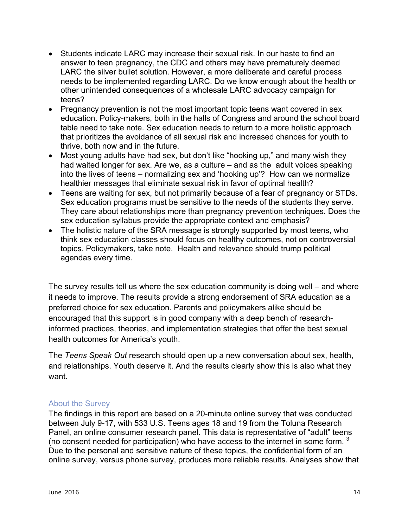- Students indicate LARC may increase their sexual risk. In our haste to find an answer to teen pregnancy, the CDC and others may have prematurely deemed LARC the silver bullet solution. However, a more deliberate and careful process needs to be implemented regarding LARC. Do we know enough about the health or other unintended consequences of a wholesale LARC advocacy campaign for teens?
- Pregnancy prevention is not the most important topic teens want covered in sex education. Policy-makers, both in the halls of Congress and around the school board table need to take note. Sex education needs to return to a more holistic approach that prioritizes the avoidance of all sexual risk and increased chances for youth to thrive, both now and in the future.
- Most young adults have had sex, but don't like "hooking up," and many wish they had waited longer for sex. Are we, as a culture – and as the adult voices speaking into the lives of teens – normalizing sex and 'hooking up'? How can we normalize healthier messages that eliminate sexual risk in favor of optimal health?
- Teens are waiting for sex, but not primarily because of a fear of pregnancy or STDs. Sex education programs must be sensitive to the needs of the students they serve. They care about relationships more than pregnancy prevention techniques. Does the sex education syllabus provide the appropriate context and emphasis?
- The holistic nature of the SRA message is strongly supported by most teens, who think sex education classes should focus on healthy outcomes, not on controversial topics. Policymakers, take note. Health and relevance should trump political agendas every time.

The survey results tell us where the sex education community is doing well – and where it needs to improve. The results provide a strong endorsement of SRA education as a preferred choice for sex education. Parents and policymakers alike should be encouraged that this support is in good company with a deep bench of researchinformed practices, theories, and implementation strategies that offer the best sexual health outcomes for America's youth.

The *Teens Speak Out* research should open up a new conversation about sex, health, and relationships. Youth deserve it. And the results clearly show this is also what they want.

## About the Survey

The findings in this report are based on a 20-minute online survey that was conducted between July 9-17, with 533 U.S. Teens ages 18 and 19 from the Toluna Research Panel, an online consumer research panel. This data is representative of "adult" teens (no consent needed for participation) who have access to the internet in some form.  $3$ Due to the personal and sensitive nature of these topics, the confidential form of an online survey, versus phone survey, produces more reliable results. Analyses show that